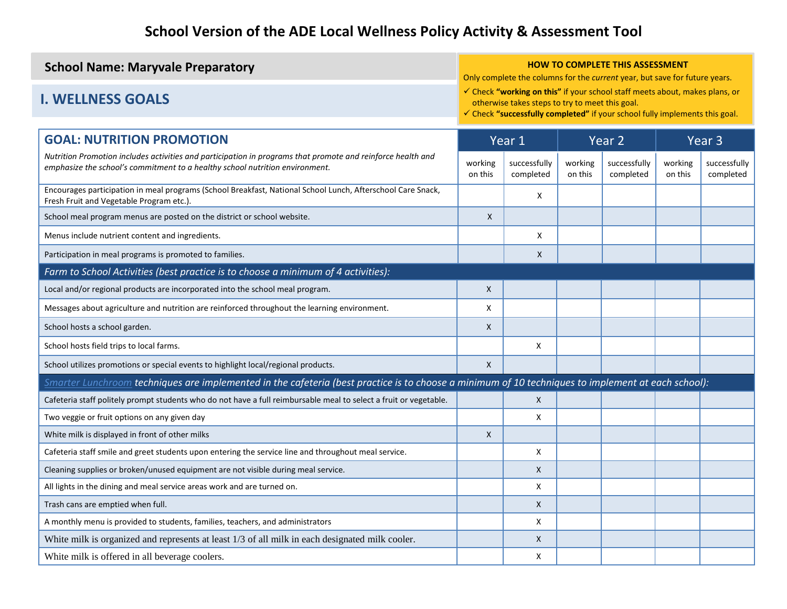| <b>School Name: Maryvale Preparatory</b> | <b>HOW TO COMPLETE THIS ASSESSMENT</b><br>Only complete the columns for the <i>current</i> year, but save for future years.                                                                                              |
|------------------------------------------|--------------------------------------------------------------------------------------------------------------------------------------------------------------------------------------------------------------------------|
| <b>I. WELLNESS GOALS</b>                 | √ Check "working on this" if your school staff meets about, makes plans, or<br>otherwise takes steps to try to meet this goal.<br>$\checkmark$ Check "successfully completed" if your school fully implements this goal. |

| <b>GOAL: NUTRITION PROMOTION</b>                                                                                                                                                            |                    | Year 1                    |                    | Year 2                    |                    | Year <sub>3</sub>         |
|---------------------------------------------------------------------------------------------------------------------------------------------------------------------------------------------|--------------------|---------------------------|--------------------|---------------------------|--------------------|---------------------------|
| Nutrition Promotion includes activities and participation in programs that promote and reinforce health and<br>emphasize the school's commitment to a healthy school nutrition environment. | working<br>on this | successfully<br>completed | working<br>on this | successfully<br>completed | working<br>on this | successfully<br>completed |
| Encourages participation in meal programs (School Breakfast, National School Lunch, Afterschool Care Snack,<br>Fresh Fruit and Vegetable Program etc.).                                     |                    | X                         |                    |                           |                    |                           |
| School meal program menus are posted on the district or school website.                                                                                                                     | X                  |                           |                    |                           |                    |                           |
| Menus include nutrient content and ingredients.                                                                                                                                             |                    | X                         |                    |                           |                    |                           |
| Participation in meal programs is promoted to families.                                                                                                                                     |                    | X                         |                    |                           |                    |                           |
| Farm to School Activities (best practice is to choose a minimum of 4 activities):                                                                                                           |                    |                           |                    |                           |                    |                           |
| Local and/or regional products are incorporated into the school meal program.                                                                                                               | X                  |                           |                    |                           |                    |                           |
| Messages about agriculture and nutrition are reinforced throughout the learning environment.                                                                                                | X                  |                           |                    |                           |                    |                           |
| School hosts a school garden.                                                                                                                                                               | X                  |                           |                    |                           |                    |                           |
| School hosts field trips to local farms.                                                                                                                                                    |                    | X                         |                    |                           |                    |                           |
| School utilizes promotions or special events to highlight local/regional products.                                                                                                          | X                  |                           |                    |                           |                    |                           |
| Smarter Lunchroom techniques are implemented in the cafeteria (best practice is to choose a minimum of 10 techniques to implement at each school):                                          |                    |                           |                    |                           |                    |                           |
| Cafeteria staff politely prompt students who do not have a full reimbursable meal to select a fruit or vegetable.                                                                           |                    | $\mathsf{X}$              |                    |                           |                    |                           |
| Two veggie or fruit options on any given day                                                                                                                                                |                    | X                         |                    |                           |                    |                           |
| White milk is displayed in front of other milks                                                                                                                                             | X                  |                           |                    |                           |                    |                           |
| Cafeteria staff smile and greet students upon entering the service line and throughout meal service.                                                                                        |                    | X                         |                    |                           |                    |                           |
| Cleaning supplies or broken/unused equipment are not visible during meal service.                                                                                                           |                    | X                         |                    |                           |                    |                           |
| All lights in the dining and meal service areas work and are turned on.                                                                                                                     |                    | X                         |                    |                           |                    |                           |
| Trash cans are emptied when full.                                                                                                                                                           |                    | X                         |                    |                           |                    |                           |
| A monthly menu is provided to students, families, teachers, and administrators                                                                                                              |                    | X                         |                    |                           |                    |                           |
| White milk is organized and represents at least 1/3 of all milk in each designated milk cooler.                                                                                             |                    | X                         |                    |                           |                    |                           |
| White milk is offered in all beverage coolers.                                                                                                                                              |                    | X                         |                    |                           |                    |                           |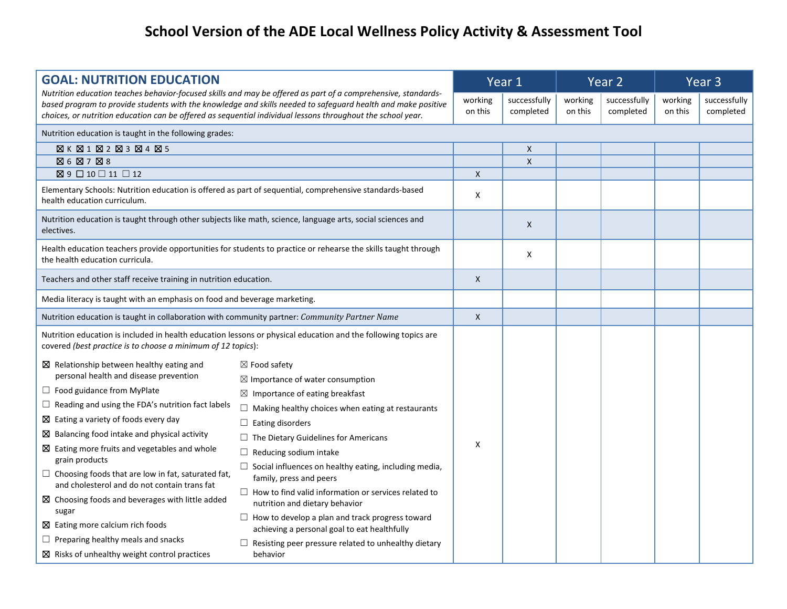| <b>GOAL: NUTRITION EDUCATION</b>                                                                                                                                                                                                                                                                                                                                                                                                                                                                                                                                                                                                                                                                                                    |                                                                                                                                                                                                                                                                                                                                                                                                                                                                                                                                                                                                                                                                       |                    | Year 1                    |                    | Year 2                    |                    | Year <sub>3</sub>         |
|-------------------------------------------------------------------------------------------------------------------------------------------------------------------------------------------------------------------------------------------------------------------------------------------------------------------------------------------------------------------------------------------------------------------------------------------------------------------------------------------------------------------------------------------------------------------------------------------------------------------------------------------------------------------------------------------------------------------------------------|-----------------------------------------------------------------------------------------------------------------------------------------------------------------------------------------------------------------------------------------------------------------------------------------------------------------------------------------------------------------------------------------------------------------------------------------------------------------------------------------------------------------------------------------------------------------------------------------------------------------------------------------------------------------------|--------------------|---------------------------|--------------------|---------------------------|--------------------|---------------------------|
| choices, or nutrition education can be offered as sequential individual lessons throughout the school year.                                                                                                                                                                                                                                                                                                                                                                                                                                                                                                                                                                                                                         | Nutrition education teaches behavior-focused skills and may be offered as part of a comprehensive, standards-<br>based program to provide students with the knowledge and skills needed to safeguard health and make positive                                                                                                                                                                                                                                                                                                                                                                                                                                         | working<br>on this | successfully<br>completed | working<br>on this | successfully<br>completed | working<br>on this | successfully<br>completed |
| Nutrition education is taught in the following grades:                                                                                                                                                                                                                                                                                                                                                                                                                                                                                                                                                                                                                                                                              |                                                                                                                                                                                                                                                                                                                                                                                                                                                                                                                                                                                                                                                                       |                    |                           |                    |                           |                    |                           |
| $\boxtimes K \boxtimes 1 \boxtimes 2 \boxtimes 3 \boxtimes 4 \boxtimes 5$                                                                                                                                                                                                                                                                                                                                                                                                                                                                                                                                                                                                                                                           |                                                                                                                                                                                                                                                                                                                                                                                                                                                                                                                                                                                                                                                                       |                    | X                         |                    |                           |                    |                           |
| ⊠ 6 ⊠ 7 ⊠ 8                                                                                                                                                                                                                                                                                                                                                                                                                                                                                                                                                                                                                                                                                                                         |                                                                                                                                                                                                                                                                                                                                                                                                                                                                                                                                                                                                                                                                       |                    | $\mathsf{X}$              |                    |                           |                    |                           |
| $\boxtimes$ 9 $\Box$ 10 $\Box$ 11 $\Box$ 12                                                                                                                                                                                                                                                                                                                                                                                                                                                                                                                                                                                                                                                                                         |                                                                                                                                                                                                                                                                                                                                                                                                                                                                                                                                                                                                                                                                       | $\mathsf{X}$       |                           |                    |                           |                    |                           |
| Elementary Schools: Nutrition education is offered as part of sequential, comprehensive standards-based<br>health education curriculum.                                                                                                                                                                                                                                                                                                                                                                                                                                                                                                                                                                                             |                                                                                                                                                                                                                                                                                                                                                                                                                                                                                                                                                                                                                                                                       | Χ                  |                           |                    |                           |                    |                           |
| Nutrition education is taught through other subjects like math, science, language arts, social sciences and<br>electives.                                                                                                                                                                                                                                                                                                                                                                                                                                                                                                                                                                                                           |                                                                                                                                                                                                                                                                                                                                                                                                                                                                                                                                                                                                                                                                       |                    | X                         |                    |                           |                    |                           |
| the health education curricula.                                                                                                                                                                                                                                                                                                                                                                                                                                                                                                                                                                                                                                                                                                     | Health education teachers provide opportunities for students to practice or rehearse the skills taught through                                                                                                                                                                                                                                                                                                                                                                                                                                                                                                                                                        |                    | X                         |                    |                           |                    |                           |
| Teachers and other staff receive training in nutrition education.                                                                                                                                                                                                                                                                                                                                                                                                                                                                                                                                                                                                                                                                   |                                                                                                                                                                                                                                                                                                                                                                                                                                                                                                                                                                                                                                                                       | $\mathsf{X}$       |                           |                    |                           |                    |                           |
| Media literacy is taught with an emphasis on food and beverage marketing.                                                                                                                                                                                                                                                                                                                                                                                                                                                                                                                                                                                                                                                           |                                                                                                                                                                                                                                                                                                                                                                                                                                                                                                                                                                                                                                                                       |                    |                           |                    |                           |                    |                           |
| Nutrition education is taught in collaboration with community partner: Community Partner Name                                                                                                                                                                                                                                                                                                                                                                                                                                                                                                                                                                                                                                       |                                                                                                                                                                                                                                                                                                                                                                                                                                                                                                                                                                                                                                                                       | $\mathsf{X}$       |                           |                    |                           |                    |                           |
| covered (best practice is to choose a minimum of 12 topics):                                                                                                                                                                                                                                                                                                                                                                                                                                                                                                                                                                                                                                                                        | Nutrition education is included in health education lessons or physical education and the following topics are                                                                                                                                                                                                                                                                                                                                                                                                                                                                                                                                                        |                    |                           |                    |                           |                    |                           |
| $\boxtimes$ Relationship between healthy eating and<br>personal health and disease prevention<br>$\Box$ Food guidance from MyPlate<br>$\Box$ Reading and using the FDA's nutrition fact labels<br>$\boxtimes$ Eating a variety of foods every day<br>$\boxtimes$ Balancing food intake and physical activity<br>$\boxtimes$ Eating more fruits and vegetables and whole<br>grain products<br>$\Box$ Choosing foods that are low in fat, saturated fat,<br>and cholesterol and do not contain trans fat<br>$\boxtimes$ Choosing foods and beverages with little added<br>sugar<br>$\boxtimes$ Eating more calcium rich foods<br>$\Box$ Preparing healthy meals and snacks<br>$\boxtimes$ Risks of unhealthy weight control practices | $\boxtimes$ Food safety<br>$\boxtimes$ Importance of water consumption<br>$\boxtimes$ Importance of eating breakfast<br>$\Box$ Making healthy choices when eating at restaurants<br>$\Box$ Eating disorders<br>$\Box$ The Dietary Guidelines for Americans<br>$\Box$ Reducing sodium intake<br>$\Box$ Social influences on healthy eating, including media,<br>family, press and peers<br>$\Box$ How to find valid information or services related to<br>nutrition and dietary behavior<br>$\Box$ How to develop a plan and track progress toward<br>achieving a personal goal to eat healthfully<br>Resisting peer pressure related to unhealthy dietary<br>behavior | $\mathsf{x}$       |                           |                    |                           |                    |                           |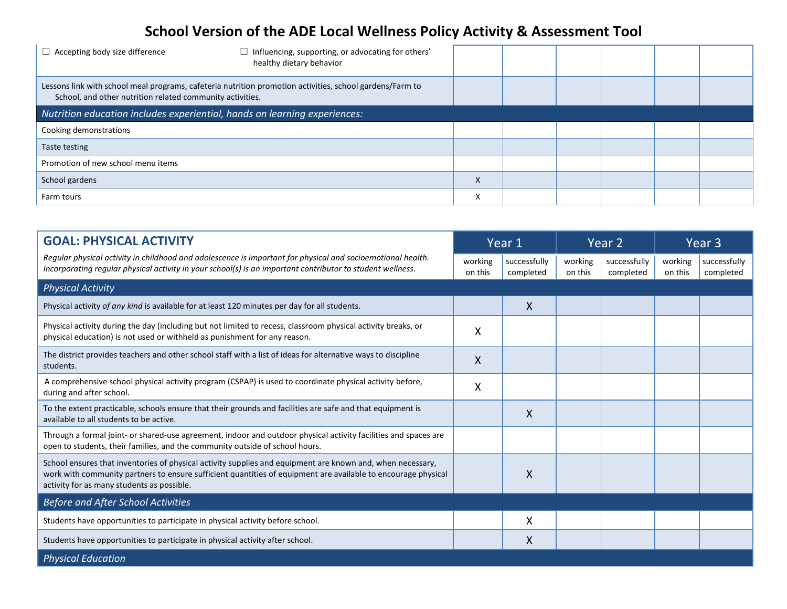| $\Box$ Accepting body size difference<br>Influencing, supporting, or advocating for others'<br>healthy dietary behavior                                               |                   |  |  |  |
|-----------------------------------------------------------------------------------------------------------------------------------------------------------------------|-------------------|--|--|--|
| Lessons link with school meal programs, cafeteria nutrition promotion activities, school gardens/Farm to<br>School, and other nutrition related community activities. |                   |  |  |  |
| Nutrition education includes experiential, hands on learning experiences:                                                                                             |                   |  |  |  |
| Cooking demonstrations                                                                                                                                                |                   |  |  |  |
| Taste testing                                                                                                                                                         |                   |  |  |  |
| Promotion of new school menu items                                                                                                                                    |                   |  |  |  |
| School gardens                                                                                                                                                        | $\checkmark$<br>л |  |  |  |
| Farm tours                                                                                                                                                            | х                 |  |  |  |

| <b>GOAL: PHYSICAL ACTIVITY</b>                                                                                                                                                                                                                                            |                    | Year 1                    |                    | Year 2                    |                    | Year 3                    |
|---------------------------------------------------------------------------------------------------------------------------------------------------------------------------------------------------------------------------------------------------------------------------|--------------------|---------------------------|--------------------|---------------------------|--------------------|---------------------------|
| Regular physical activity in childhood and adolescence is important for physical and socioemotional health.<br>Incorporating regular physical activity in your school(s) is an important contributor to student wellness.                                                 | working<br>on this | successfully<br>completed | working<br>on this | successfully<br>completed | working<br>on this | successfully<br>completed |
| <b>Physical Activity</b>                                                                                                                                                                                                                                                  |                    |                           |                    |                           |                    |                           |
| Physical activity of any kind is available for at least 120 minutes per day for all students.                                                                                                                                                                             |                    | $\mathsf{X}$              |                    |                           |                    |                           |
| Physical activity during the day (including but not limited to recess, classroom physical activity breaks, or<br>physical education) is not used or withheld as punishment for any reason.                                                                                | X                  |                           |                    |                           |                    |                           |
| The district provides teachers and other school staff with a list of ideas for alternative ways to discipline<br>students.                                                                                                                                                | X                  |                           |                    |                           |                    |                           |
| A comprehensive school physical activity program (CSPAP) is used to coordinate physical activity before,<br>during and after school.                                                                                                                                      | X                  |                           |                    |                           |                    |                           |
| To the extent practicable, schools ensure that their grounds and facilities are safe and that equipment is<br>available to all students to be active.                                                                                                                     |                    | Χ                         |                    |                           |                    |                           |
| Through a formal joint- or shared-use agreement, indoor and outdoor physical activity facilities and spaces are<br>open to students, their families, and the community outside of school hours.                                                                           |                    |                           |                    |                           |                    |                           |
| School ensures that inventories of physical activity supplies and equipment are known and, when necessary,<br>work with community partners to ensure sufficient quantities of equipment are available to encourage physical<br>activity for as many students as possible. |                    | X                         |                    |                           |                    |                           |
| <b>Before and After School Activities</b>                                                                                                                                                                                                                                 |                    |                           |                    |                           |                    |                           |
| Students have opportunities to participate in physical activity before school.                                                                                                                                                                                            |                    | X                         |                    |                           |                    |                           |
| Students have opportunities to participate in physical activity after school.                                                                                                                                                                                             |                    | X                         |                    |                           |                    |                           |
| <b>Physical Education</b>                                                                                                                                                                                                                                                 |                    |                           |                    |                           |                    |                           |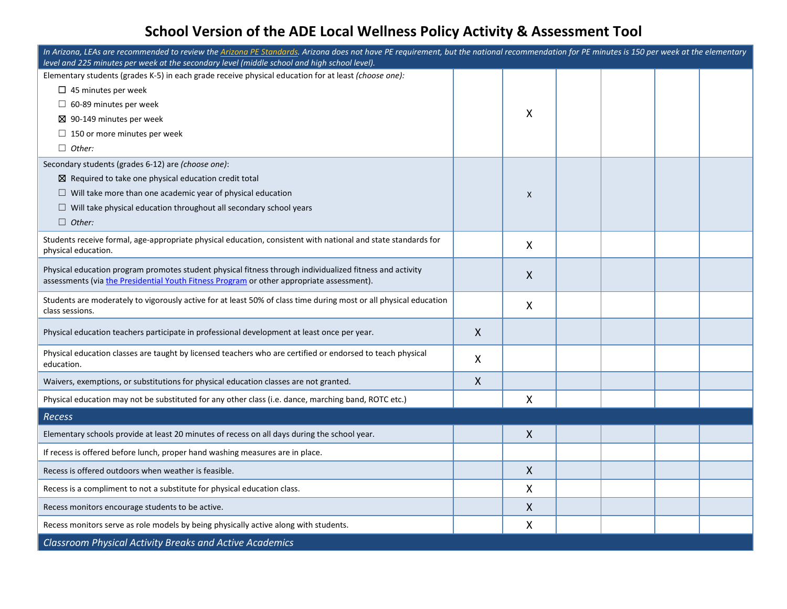| In Arizona, LEAs are recommended to review the Arizona PE Standards. Arizona does not have PE requirement, but the national recommendation for PE minutes is 150 per week at the elementary<br>level and 225 minutes per week at the secondary level (middle school and high school level). |   |              |  |  |
|---------------------------------------------------------------------------------------------------------------------------------------------------------------------------------------------------------------------------------------------------------------------------------------------|---|--------------|--|--|
| Elementary students (grades K-5) in each grade receive physical education for at least (choose one):                                                                                                                                                                                        |   |              |  |  |
| $\Box$ 45 minutes per week                                                                                                                                                                                                                                                                  |   |              |  |  |
| $\Box$ 60-89 minutes per week                                                                                                                                                                                                                                                               |   |              |  |  |
| $\boxtimes$ 90-149 minutes per week                                                                                                                                                                                                                                                         |   | X            |  |  |
| $\Box$ 150 or more minutes per week                                                                                                                                                                                                                                                         |   |              |  |  |
| $\Box$ Other:                                                                                                                                                                                                                                                                               |   |              |  |  |
| Secondary students (grades 6-12) are (choose one):                                                                                                                                                                                                                                          |   |              |  |  |
| $\boxtimes$ Required to take one physical education credit total                                                                                                                                                                                                                            |   |              |  |  |
| $\Box$ Will take more than one academic year of physical education                                                                                                                                                                                                                          |   | X            |  |  |
| $\Box$ Will take physical education throughout all secondary school years                                                                                                                                                                                                                   |   |              |  |  |
| $\Box$ Other:                                                                                                                                                                                                                                                                               |   |              |  |  |
| Students receive formal, age-appropriate physical education, consistent with national and state standards for<br>physical education.                                                                                                                                                        |   | X            |  |  |
| Physical education program promotes student physical fitness through individualized fitness and activity<br>assessments (via the Presidential Youth Fitness Program or other appropriate assessment).                                                                                       |   | $\mathsf{X}$ |  |  |
| Students are moderately to vigorously active for at least 50% of class time during most or all physical education<br>class sessions.                                                                                                                                                        |   | X            |  |  |
| Physical education teachers participate in professional development at least once per year.                                                                                                                                                                                                 | X |              |  |  |
| Physical education classes are taught by licensed teachers who are certified or endorsed to teach physical<br>education.                                                                                                                                                                    | X |              |  |  |
| Waivers, exemptions, or substitutions for physical education classes are not granted.                                                                                                                                                                                                       | X |              |  |  |
| Physical education may not be substituted for any other class (i.e. dance, marching band, ROTC etc.)                                                                                                                                                                                        |   | X            |  |  |
| Recess                                                                                                                                                                                                                                                                                      |   |              |  |  |
| Elementary schools provide at least 20 minutes of recess on all days during the school year.                                                                                                                                                                                                |   | $\mathsf{X}$ |  |  |
| If recess is offered before lunch, proper hand washing measures are in place.                                                                                                                                                                                                               |   |              |  |  |
| Recess is offered outdoors when weather is feasible.                                                                                                                                                                                                                                        |   | Χ            |  |  |
| Recess is a compliment to not a substitute for physical education class.                                                                                                                                                                                                                    |   | Χ            |  |  |
| Recess monitors encourage students to be active.                                                                                                                                                                                                                                            |   | X            |  |  |
| Recess monitors serve as role models by being physically active along with students.                                                                                                                                                                                                        |   | X            |  |  |
| <b>Classroom Physical Activity Breaks and Active Academics</b>                                                                                                                                                                                                                              |   |              |  |  |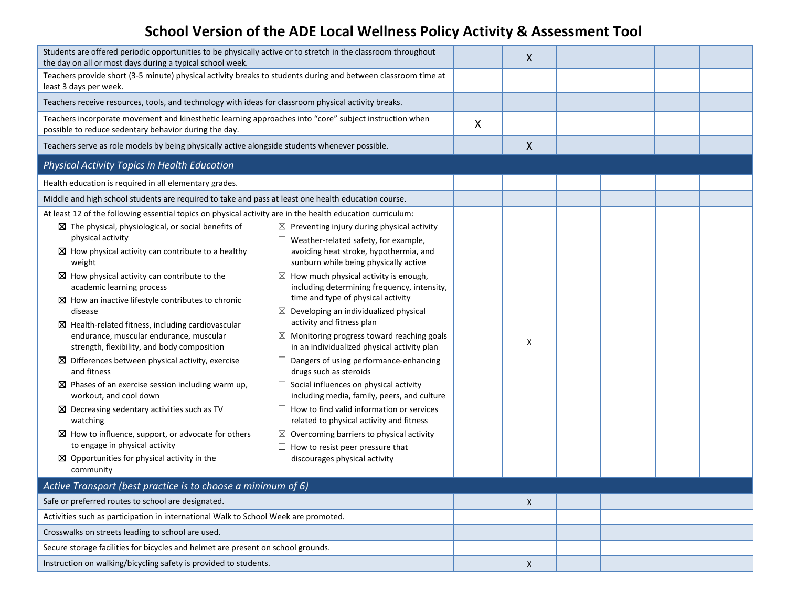| Students are offered periodic opportunities to be physically active or to stretch in the classroom throughout<br>the day on all or most days during a typical school week. |                                                                                                  |   | X                  |  |  |
|----------------------------------------------------------------------------------------------------------------------------------------------------------------------------|--------------------------------------------------------------------------------------------------|---|--------------------|--|--|
| Teachers provide short (3-5 minute) physical activity breaks to students during and between classroom time at<br>least 3 days per week.                                    |                                                                                                  |   |                    |  |  |
| Teachers receive resources, tools, and technology with ideas for classroom physical activity breaks.                                                                       |                                                                                                  |   |                    |  |  |
| Teachers incorporate movement and kinesthetic learning approaches into "core" subject instruction when<br>possible to reduce sedentary behavior during the day.            |                                                                                                  | X |                    |  |  |
| Teachers serve as role models by being physically active alongside students whenever possible.                                                                             |                                                                                                  |   | $\pmb{\mathsf{X}}$ |  |  |
| Physical Activity Topics in Health Education                                                                                                                               |                                                                                                  |   |                    |  |  |
| Health education is required in all elementary grades.                                                                                                                     |                                                                                                  |   |                    |  |  |
| Middle and high school students are required to take and pass at least one health education course.                                                                        |                                                                                                  |   |                    |  |  |
| At least 12 of the following essential topics on physical activity are in the health education curriculum:                                                                 |                                                                                                  |   |                    |  |  |
| $\boxtimes$ The physical, physiological, or social benefits of                                                                                                             | $\boxtimes$ Preventing injury during physical activity                                           |   |                    |  |  |
| physical activity                                                                                                                                                          | $\Box$ Weather-related safety, for example,                                                      |   |                    |  |  |
| $\boxtimes$ How physical activity can contribute to a healthy<br>weight                                                                                                    | avoiding heat stroke, hypothermia, and<br>sunburn while being physically active                  |   |                    |  |  |
| $\boxtimes$ How physical activity can contribute to the<br>academic learning process                                                                                       | $\boxtimes$ How much physical activity is enough,<br>including determining frequency, intensity, |   |                    |  |  |
| $\boxtimes$ How an inactive lifestyle contributes to chronic                                                                                                               | time and type of physical activity                                                               |   |                    |  |  |
| disease                                                                                                                                                                    | $\boxtimes$ Developing an individualized physical<br>activity and fitness plan                   |   |                    |  |  |
| $\boxtimes$ Health-related fitness, including cardiovascular<br>endurance, muscular endurance, muscular                                                                    | Monitoring progress toward reaching goals<br>$\boxtimes$                                         |   |                    |  |  |
| strength, flexibility, and body composition                                                                                                                                | in an individualized physical activity plan                                                      |   | X                  |  |  |
| $\boxtimes$ Differences between physical activity, exercise<br>and fitness                                                                                                 | $\Box$ Dangers of using performance-enhancing<br>drugs such as steroids                          |   |                    |  |  |
| $\boxtimes$ Phases of an exercise session including warm up,<br>workout, and cool down                                                                                     | $\Box$ Social influences on physical activity<br>including media, family, peers, and culture     |   |                    |  |  |
| $\boxtimes$ Decreasing sedentary activities such as TV<br>watching                                                                                                         | $\Box$ How to find valid information or services<br>related to physical activity and fitness     |   |                    |  |  |
| $\boxtimes$ How to influence, support, or advocate for others                                                                                                              | $\boxtimes$ Overcoming barriers to physical activity                                             |   |                    |  |  |
| to engage in physical activity                                                                                                                                             | $\Box$ How to resist peer pressure that                                                          |   |                    |  |  |
| $\boxtimes$ Opportunities for physical activity in the<br>community                                                                                                        | discourages physical activity                                                                    |   |                    |  |  |
|                                                                                                                                                                            |                                                                                                  |   |                    |  |  |
| Active Transport (best practice is to choose a minimum of 6)<br>Safe or preferred routes to school are designated.                                                         |                                                                                                  |   |                    |  |  |
| Activities such as participation in international Walk to School Week are promoted.                                                                                        |                                                                                                  |   | X                  |  |  |
|                                                                                                                                                                            |                                                                                                  |   |                    |  |  |
| Crosswalks on streets leading to school are used.                                                                                                                          |                                                                                                  |   |                    |  |  |
| Secure storage facilities for bicycles and helmet are present on school grounds.                                                                                           |                                                                                                  |   |                    |  |  |
| Instruction on walking/bicycling safety is provided to students.                                                                                                           |                                                                                                  |   | X                  |  |  |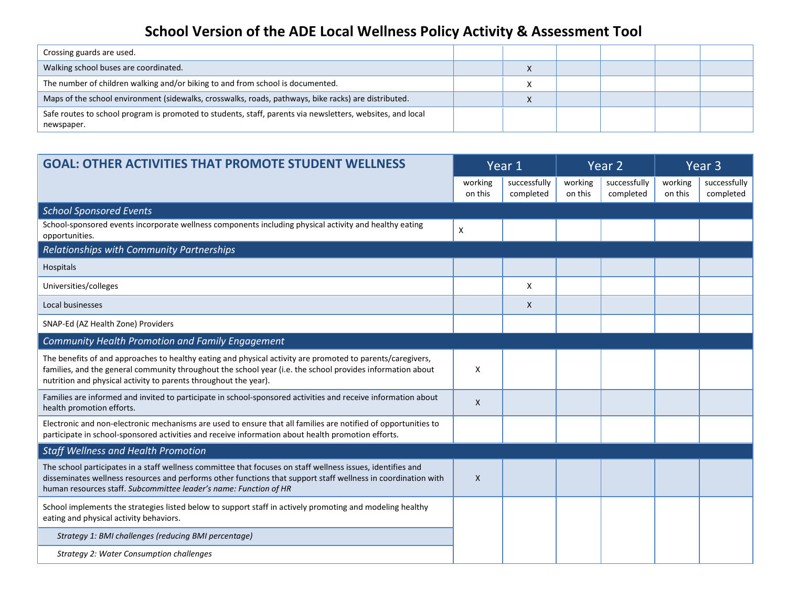| Crossing guards are used.                                                                                                |  |  |  |
|--------------------------------------------------------------------------------------------------------------------------|--|--|--|
| Walking school buses are coordinated.                                                                                    |  |  |  |
| The number of children walking and/or biking to and from school is documented.                                           |  |  |  |
| Maps of the school environment (sidewalks, crosswalks, roads, pathways, bike racks) are distributed.                     |  |  |  |
| Safe routes to school program is promoted to students, staff, parents via newsletters, websites, and local<br>newspaper. |  |  |  |

| <b>GOAL: OTHER ACTIVITIES THAT PROMOTE STUDENT WELLNESS</b>                                                                                                                                                                                                                                       |                    | Year 1                    |                    | Year <sub>2</sub>         |                    | Year <sub>3</sub>         |
|---------------------------------------------------------------------------------------------------------------------------------------------------------------------------------------------------------------------------------------------------------------------------------------------------|--------------------|---------------------------|--------------------|---------------------------|--------------------|---------------------------|
|                                                                                                                                                                                                                                                                                                   | working<br>on this | successfully<br>completed | working<br>on this | successfully<br>completed | working<br>on this | successfully<br>completed |
| <b>School Sponsored Events</b>                                                                                                                                                                                                                                                                    |                    |                           |                    |                           |                    |                           |
| School-sponsored events incorporate wellness components including physical activity and healthy eating<br>opportunities.                                                                                                                                                                          | X                  |                           |                    |                           |                    |                           |
| Relationships with Community Partnerships                                                                                                                                                                                                                                                         |                    |                           |                    |                           |                    |                           |
| Hospitals                                                                                                                                                                                                                                                                                         |                    |                           |                    |                           |                    |                           |
| Universities/colleges                                                                                                                                                                                                                                                                             |                    | X                         |                    |                           |                    |                           |
| Local businesses                                                                                                                                                                                                                                                                                  |                    | X                         |                    |                           |                    |                           |
| SNAP-Ed (AZ Health Zone) Providers                                                                                                                                                                                                                                                                |                    |                           |                    |                           |                    |                           |
| Community Health Promotion and Family Engagement                                                                                                                                                                                                                                                  |                    |                           |                    |                           |                    |                           |
| The benefits of and approaches to healthy eating and physical activity are promoted to parents/caregivers,<br>families, and the general community throughout the school year (i.e. the school provides information about<br>nutrition and physical activity to parents throughout the year).      | X                  |                           |                    |                           |                    |                           |
| Families are informed and invited to participate in school-sponsored activities and receive information about<br>health promotion efforts.                                                                                                                                                        | X                  |                           |                    |                           |                    |                           |
| Electronic and non-electronic mechanisms are used to ensure that all families are notified of opportunities to<br>participate in school-sponsored activities and receive information about health promotion efforts.                                                                              |                    |                           |                    |                           |                    |                           |
| <b>Staff Wellness and Health Promotion</b>                                                                                                                                                                                                                                                        |                    |                           |                    |                           |                    |                           |
| The school participates in a staff wellness committee that focuses on staff wellness issues, identifies and<br>disseminates wellness resources and performs other functions that support staff wellness in coordination with<br>human resources staff. Subcommittee leader's name: Function of HR | X                  |                           |                    |                           |                    |                           |
| School implements the strategies listed below to support staff in actively promoting and modeling healthy<br>eating and physical activity behaviors.                                                                                                                                              |                    |                           |                    |                           |                    |                           |
| Strategy 1: BMI challenges (reducing BMI percentage)                                                                                                                                                                                                                                              |                    |                           |                    |                           |                    |                           |
| Strategy 2: Water Consumption challenges                                                                                                                                                                                                                                                          |                    |                           |                    |                           |                    |                           |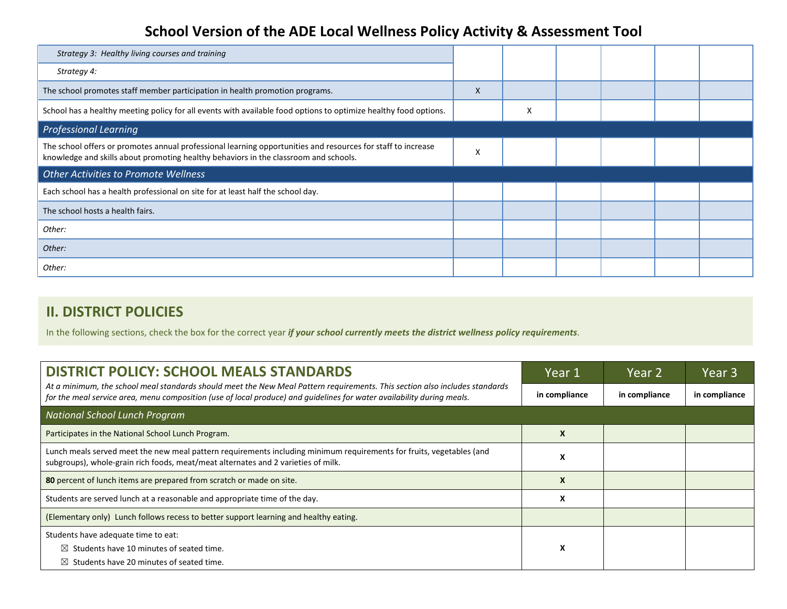| Strategy 3: Healthy living courses and training                                                                                                                                                      |   |   |  |  |
|------------------------------------------------------------------------------------------------------------------------------------------------------------------------------------------------------|---|---|--|--|
| Strategy 4:                                                                                                                                                                                          |   |   |  |  |
| The school promotes staff member participation in health promotion programs.                                                                                                                         | X |   |  |  |
| School has a healthy meeting policy for all events with available food options to optimize healthy food options.                                                                                     |   | X |  |  |
| <b>Professional Learning</b>                                                                                                                                                                         |   |   |  |  |
| The school offers or promotes annual professional learning opportunities and resources for staff to increase<br>knowledge and skills about promoting healthy behaviors in the classroom and schools. | X |   |  |  |
| <b>Other Activities to Promote Wellness</b>                                                                                                                                                          |   |   |  |  |
| Each school has a health professional on site for at least half the school day.                                                                                                                      |   |   |  |  |
| The school hosts a health fairs.                                                                                                                                                                     |   |   |  |  |
| Other:                                                                                                                                                                                               |   |   |  |  |
| Other:                                                                                                                                                                                               |   |   |  |  |
| Other:                                                                                                                                                                                               |   |   |  |  |

#### **II. DISTRICT POLICIES**

In the following sections, check the box for the correct year *if your school currently meets the district wellness policy requirements*.

| <b>DISTRICT POLICY: SCHOOL MEALS STANDARDS</b>                                                                                                                                                                                                        | Year 1        | Year 2        | Year <sub>3</sub> |
|-------------------------------------------------------------------------------------------------------------------------------------------------------------------------------------------------------------------------------------------------------|---------------|---------------|-------------------|
| At a minimum, the school meal standards should meet the New Meal Pattern requirements. This section also includes standards<br>for the meal service area, menu composition (use of local produce) and guidelines for water availability during meals. | in compliance | in compliance | in compliance     |
| <b>National School Lunch Program</b>                                                                                                                                                                                                                  |               |               |                   |
| Participates in the National School Lunch Program.                                                                                                                                                                                                    | X             |               |                   |
| Lunch meals served meet the new meal pattern requirements including minimum requirements for fruits, vegetables (and<br>subgroups), whole-grain rich foods, meat/meat alternates and 2 varieties of milk.                                             | X             |               |                   |
| 80 percent of lunch items are prepared from scratch or made on site.                                                                                                                                                                                  | X             |               |                   |
| Students are served lunch at a reasonable and appropriate time of the day.                                                                                                                                                                            | X             |               |                   |
| (Elementary only) Lunch follows recess to better support learning and healthy eating.                                                                                                                                                                 |               |               |                   |
| Students have adequate time to eat:                                                                                                                                                                                                                   |               |               |                   |
| $\boxtimes$ Students have 10 minutes of seated time.                                                                                                                                                                                                  | X             |               |                   |
| $\boxtimes$ Students have 20 minutes of seated time.                                                                                                                                                                                                  |               |               |                   |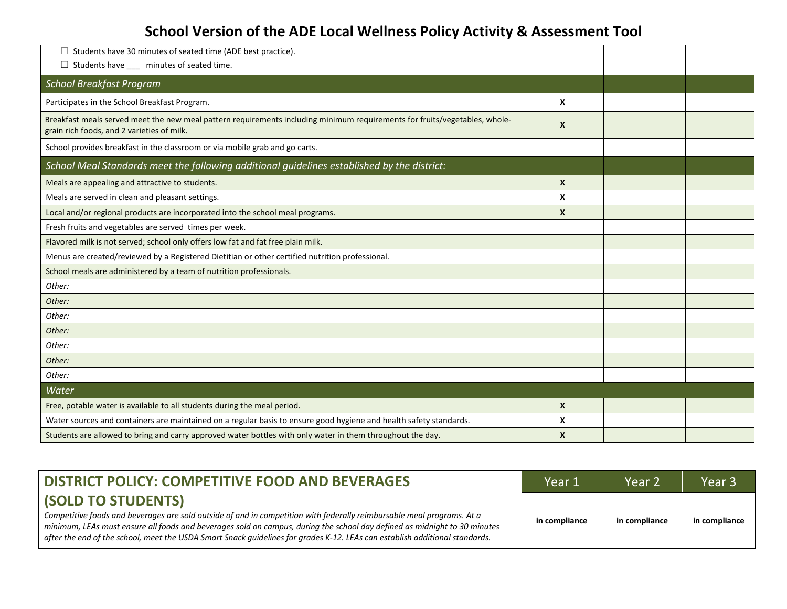| $\Box$ Students have 30 minutes of seated time (ADE best practice).                                                                                                      |              |  |
|--------------------------------------------------------------------------------------------------------------------------------------------------------------------------|--------------|--|
| $\Box$ Students have $\Box$ minutes of seated time.                                                                                                                      |              |  |
| <b>School Breakfast Program</b>                                                                                                                                          |              |  |
| Participates in the School Breakfast Program.                                                                                                                            | X            |  |
| Breakfast meals served meet the new meal pattern requirements including minimum requirements for fruits/vegetables, whole-<br>grain rich foods, and 2 varieties of milk. | $\mathbf{x}$ |  |
| School provides breakfast in the classroom or via mobile grab and go carts.                                                                                              |              |  |
| School Meal Standards meet the following additional quidelines established by the district:                                                                              |              |  |
| Meals are appealing and attractive to students.                                                                                                                          | $\mathsf{x}$ |  |
| Meals are served in clean and pleasant settings.                                                                                                                         | X            |  |
| Local and/or regional products are incorporated into the school meal programs.                                                                                           | $\mathsf{x}$ |  |
| Fresh fruits and vegetables are served times per week.                                                                                                                   |              |  |
| Flavored milk is not served; school only offers low fat and fat free plain milk.                                                                                         |              |  |
| Menus are created/reviewed by a Registered Dietitian or other certified nutrition professional.                                                                          |              |  |
| School meals are administered by a team of nutrition professionals.                                                                                                      |              |  |
| Other:                                                                                                                                                                   |              |  |
| Other:                                                                                                                                                                   |              |  |
| Other:                                                                                                                                                                   |              |  |
| Other:                                                                                                                                                                   |              |  |
| Other:                                                                                                                                                                   |              |  |
| Other:                                                                                                                                                                   |              |  |
| Other:                                                                                                                                                                   |              |  |
| Water                                                                                                                                                                    |              |  |
| Free, potable water is available to all students during the meal period.                                                                                                 | $\mathsf{x}$ |  |
| Water sources and containers are maintained on a regular basis to ensure good hygiene and health safety standards.                                                       | X            |  |
| Students are allowed to bring and carry approved water bottles with only water in them throughout the day.                                                               | $\mathbf{x}$ |  |

| <b>DISTRICT POLICY: COMPETITIVE FOOD AND BEVERAGES</b>                                                                                                                                                                                                                                                                                                                             | Year 1        | Year 2        | Year <sub>3</sub> |
|------------------------------------------------------------------------------------------------------------------------------------------------------------------------------------------------------------------------------------------------------------------------------------------------------------------------------------------------------------------------------------|---------------|---------------|-------------------|
| <b>(SOLD TO STUDENTS)</b>                                                                                                                                                                                                                                                                                                                                                          |               |               |                   |
| Competitive foods and beverages are sold outside of and in competition with federally reimbursable meal programs. At a<br>minimum, LEAs must ensure all foods and beverages sold on campus, during the school day defined as midnight to 30 minutes<br>after the end of the school, meet the USDA Smart Snack guidelines for grades K-12. LEAs can establish additional standards. | in compliance | in compliance | in compliance     |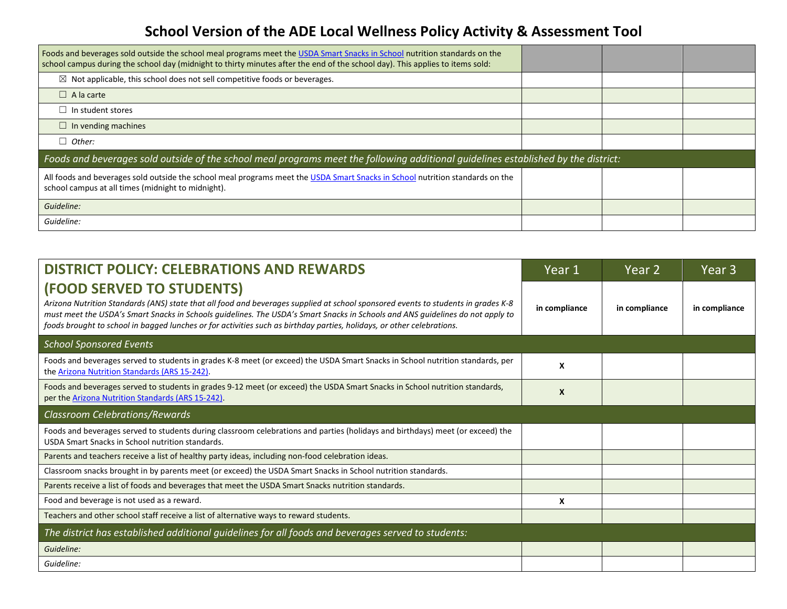| Foods and beverages sold outside the school meal programs meet the USDA Smart Snacks in School nutrition standards on the<br>school campus during the school day (midnight to thirty minutes after the end of the school day). This applies to items sold: |  |  |
|------------------------------------------------------------------------------------------------------------------------------------------------------------------------------------------------------------------------------------------------------------|--|--|
| Not applicable, this school does not sell competitive foods or beverages.<br>⊠                                                                                                                                                                             |  |  |
| $\Box$ A la carte                                                                                                                                                                                                                                          |  |  |
| In student stores                                                                                                                                                                                                                                          |  |  |
| In vending machines                                                                                                                                                                                                                                        |  |  |
| Other:<br>□                                                                                                                                                                                                                                                |  |  |
| Foods and beverages sold outside of the school meal programs meet the following additional quidelines established by the district:                                                                                                                         |  |  |
| All foods and beverages sold outside the school meal programs meet the USDA Smart Snacks in School nutrition standards on the<br>school campus at all times (midnight to midnight).                                                                        |  |  |
| Guideline:                                                                                                                                                                                                                                                 |  |  |
| Guideline:                                                                                                                                                                                                                                                 |  |  |

| <b>DISTRICT POLICY: CELEBRATIONS AND REWARDS</b>                                                                                                                                                                                                                                                                                                                                                                           | Year 1        | Year 2        | Year 3        |
|----------------------------------------------------------------------------------------------------------------------------------------------------------------------------------------------------------------------------------------------------------------------------------------------------------------------------------------------------------------------------------------------------------------------------|---------------|---------------|---------------|
| (FOOD SERVED TO STUDENTS)<br>Arizona Nutrition Standards (ANS) state that all food and beverages supplied at school sponsored events to students in grades K-8<br>must meet the USDA's Smart Snacks in Schools guidelines. The USDA's Smart Snacks in Schools and ANS guidelines do not apply to<br>foods brought to school in bagged lunches or for activities such as birthday parties, holidays, or other celebrations. | in compliance | in compliance | in compliance |
| <b>School Sponsored Events</b>                                                                                                                                                                                                                                                                                                                                                                                             |               |               |               |
| Foods and beverages served to students in grades K-8 meet (or exceed) the USDA Smart Snacks in School nutrition standards, per<br>the Arizona Nutrition Standards (ARS 15-242).                                                                                                                                                                                                                                            | X             |               |               |
| Foods and beverages served to students in grades 9-12 meet (or exceed) the USDA Smart Snacks in School nutrition standards,<br>per the Arizona Nutrition Standards (ARS 15-242).                                                                                                                                                                                                                                           | X             |               |               |
| <b>Classroom Celebrations/Rewards</b>                                                                                                                                                                                                                                                                                                                                                                                      |               |               |               |
| Foods and beverages served to students during classroom celebrations and parties (holidays and birthdays) meet (or exceed) the<br>USDA Smart Snacks in School nutrition standards.                                                                                                                                                                                                                                         |               |               |               |
| Parents and teachers receive a list of healthy party ideas, including non-food celebration ideas.                                                                                                                                                                                                                                                                                                                          |               |               |               |
| Classroom snacks brought in by parents meet (or exceed) the USDA Smart Snacks in School nutrition standards.                                                                                                                                                                                                                                                                                                               |               |               |               |
| Parents receive a list of foods and beverages that meet the USDA Smart Snacks nutrition standards.                                                                                                                                                                                                                                                                                                                         |               |               |               |
| Food and beverage is not used as a reward.                                                                                                                                                                                                                                                                                                                                                                                 | X             |               |               |
| Teachers and other school staff receive a list of alternative ways to reward students.                                                                                                                                                                                                                                                                                                                                     |               |               |               |
| The district has established additional guidelines for all foods and beverages served to students:                                                                                                                                                                                                                                                                                                                         |               |               |               |
| Guideline:                                                                                                                                                                                                                                                                                                                                                                                                                 |               |               |               |
| Guideline:                                                                                                                                                                                                                                                                                                                                                                                                                 |               |               |               |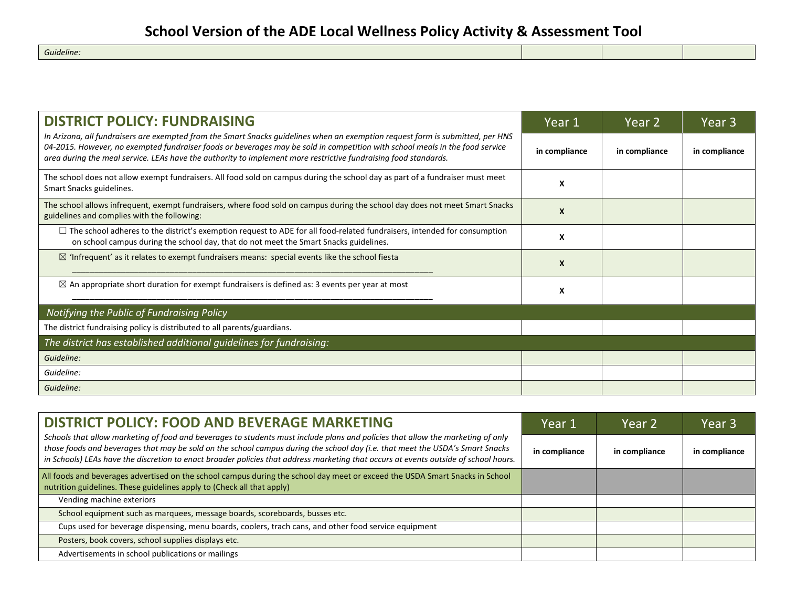*Guideline:*

| <b>DISTRICT POLICY: FUNDRAISING</b>                                                                                                                                                                                                                                                                                                                                               | Year 1           | Year 2        | Year 3        |
|-----------------------------------------------------------------------------------------------------------------------------------------------------------------------------------------------------------------------------------------------------------------------------------------------------------------------------------------------------------------------------------|------------------|---------------|---------------|
| In Arizona, all fundraisers are exempted from the Smart Snacks guidelines when an exemption request form is submitted, per HNS<br>04-2015. However, no exempted fundraiser foods or beverages may be sold in competition with school meals in the food service<br>area during the meal service. LEAs have the authority to implement more restrictive fundraising food standards. | in compliance    | in compliance | in compliance |
| The school does not allow exempt fundraisers. All food sold on campus during the school day as part of a fundraiser must meet<br>Smart Snacks guidelines.                                                                                                                                                                                                                         | X                |               |               |
| The school allows infrequent, exempt fundraisers, where food sold on campus during the school day does not meet Smart Snacks<br>guidelines and complies with the following:                                                                                                                                                                                                       | $\boldsymbol{x}$ |               |               |
| $\Box$ The school adheres to the district's exemption request to ADE for all food-related fundraisers, intended for consumption<br>on school campus during the school day, that do not meet the Smart Snacks guidelines.                                                                                                                                                          | X                |               |               |
| $\boxtimes$ 'Infrequent' as it relates to exempt fundraisers means: special events like the school fiesta                                                                                                                                                                                                                                                                         | X                |               |               |
| $\boxtimes$ An appropriate short duration for exempt fundraisers is defined as: 3 events per year at most                                                                                                                                                                                                                                                                         | X                |               |               |
| Notifying the Public of Fundraising Policy                                                                                                                                                                                                                                                                                                                                        |                  |               |               |
| The district fundraising policy is distributed to all parents/guardians.                                                                                                                                                                                                                                                                                                          |                  |               |               |
| The district has established additional guidelines for fundraising:                                                                                                                                                                                                                                                                                                               |                  |               |               |
| Guideline:                                                                                                                                                                                                                                                                                                                                                                        |                  |               |               |
| Guideline:                                                                                                                                                                                                                                                                                                                                                                        |                  |               |               |
| Guideline:                                                                                                                                                                                                                                                                                                                                                                        |                  |               |               |

| <b>DISTRICT POLICY: FOOD AND BEVERAGE MARKETING</b>                                                                                                                                                                                                                                                                                                                                                      | Year 1        | Year 2        | Year 3        |
|----------------------------------------------------------------------------------------------------------------------------------------------------------------------------------------------------------------------------------------------------------------------------------------------------------------------------------------------------------------------------------------------------------|---------------|---------------|---------------|
| Schools that allow marketing of food and beverages to students must include plans and policies that allow the marketing of only<br>those foods and beverages that may be sold on the school campus during the school day (i.e. that meet the USDA's Smart Snacks<br>in Schools) LEAs have the discretion to enact broader policies that address marketing that occurs at events outside of school hours. | in compliance | in compliance | in compliance |
| All foods and beverages advertised on the school campus during the school day meet or exceed the USDA Smart Snacks in School<br>nutrition guidelines. These guidelines apply to (Check all that apply)                                                                                                                                                                                                   |               |               |               |
| Vending machine exteriors                                                                                                                                                                                                                                                                                                                                                                                |               |               |               |
| School equipment such as marquees, message boards, scoreboards, busses etc.                                                                                                                                                                                                                                                                                                                              |               |               |               |
| Cups used for beverage dispensing, menu boards, coolers, trach cans, and other food service equipment                                                                                                                                                                                                                                                                                                    |               |               |               |
| Posters, book covers, school supplies displays etc.                                                                                                                                                                                                                                                                                                                                                      |               |               |               |
| Advertisements in school publications or mailings                                                                                                                                                                                                                                                                                                                                                        |               |               |               |